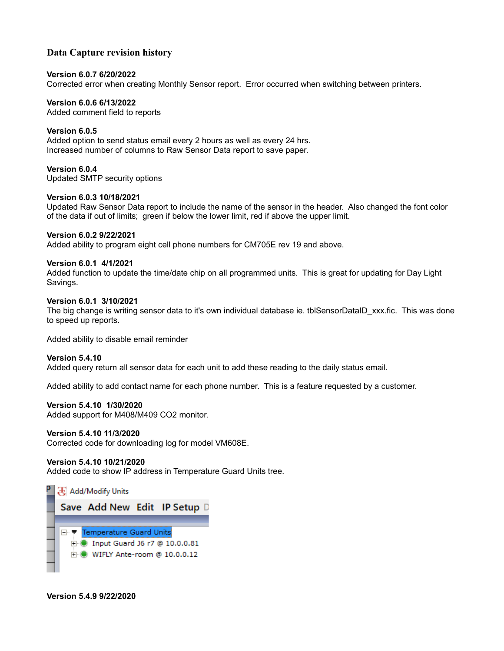# **Data Capture revision history**

#### **Version 6.0.7 6/20/2022**

Corrected error when creating Monthly Sensor report. Error occurred when switching between printers.

#### **Version 6.0.6 6/13/2022**

Added comment field to reports

## **Version 6.0.5**

Added option to send status email every 2 hours as well as every 24 hrs. Increased number of columns to Raw Sensor Data report to save paper.

**Version 6.0.4**  Updated SMTP security options

#### **Version 6.0.3 10/18/2021**

Updated Raw Sensor Data report to include the name of the sensor in the header. Also changed the font color of the data if out of limits; green if below the lower limit, red if above the upper limit.

## **Version 6.0.2 9/22/2021**

Added ability to program eight cell phone numbers for CM705E rev 19 and above.

#### **Version 6.0.1 4/1/2021**

Added function to update the time/date chip on all programmed units. This is great for updating for Day Light Savings.

#### **Version 6.0.1 3/10/2021**

The big change is writing sensor data to it's own individual database ie. tblSensorDataID\_xxx.fic. This was done to speed up reports.

Added ability to disable email reminder

#### **Version 5.4.10**

Added query return all sensor data for each unit to add these reading to the daily status email.

Added ability to add contact name for each phone number. This is a feature requested by a customer.

#### **Version 5.4.10 1/30/2020**

Added support for M408/M409 CO2 monitor.

#### **Version 5.4.10 11/3/2020**

Corrected code for downloading log for model VM608E.

#### **Version 5.4.10 10/21/2020**

Added code to show IP address in Temperature Guard Units tree.



#### **Version 5.4.9 9/22/2020**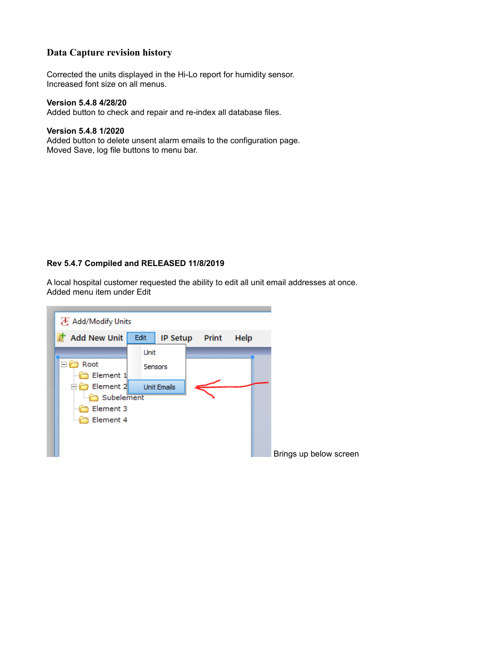# **Data Capture revision history**

Corrected the units displayed in the Hi-Lo report for humidity sensor. Increased font size on all menus.

#### **Version 5.4.8 4/28/20**

Added button to check and repair and re-index all database files.

#### **Version 5.4.8 1/2020**

Added button to delete unsent alarm emails to the configuration page. Moved Save, log file buttons to menu bar.

## **Rev 5.4.7 Compiled and RELEASED 11/8/2019**

A local hospital customer requested the ability to edit all unit email addresses at once. Added menu item under Edit